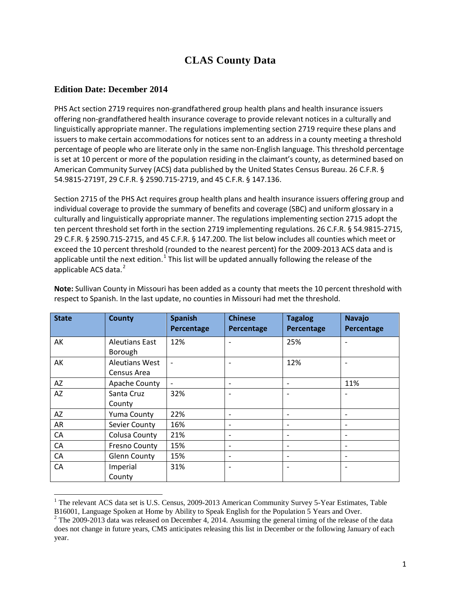## **CLAS County Data**

## **Edition Date: December 2014**

 $\overline{a}$ 

PHS Act section 2719 requires non-grandfathered group health plans and health insurance issuers offering non-grandfathered health insurance coverage to provide relevant notices in a culturally and linguistically appropriate manner. The regulations implementing section 2719 require these plans and issuers to make certain accommodations for notices sent to an address in a county meeting a threshold percentage of people who are literate only in the same non-English language. This threshold percentage is set at 10 percent or more of the population residing in the claimant's county, as determined based on American Community Survey (ACS) data published by the United States Census Bureau. 26 C.F.R. § 54.9815-2719T, 29 C.F.R. § 2590.715-2719, and 45 C.F.R. § 147.136.

Section 2715 of the PHS Act requires group health plans and health insurance issuers offering group and individual coverage to provide the summary of benefits and coverage (SBC) and uniform glossary in a culturally and linguistically appropriate manner. The regulations implementing section 2715 adopt the ten percent threshold set forth in the section 2719 implementing regulations. 26 C.F.R. § 54.9815-2715, 29 C.F.R. § 2590.715-2715, and 45 C.F.R. § 147.200. The list below includes all counties which meet or exceed the 10 percent threshold (rounded to the nearest percent) for the 2009-2013 ACS data and is applicable until the next edition.<sup>[1](#page-0-0)</sup> This list will be updated annually following the release of the applicable ACS data.<sup>[2](#page-0-1)</sup>

| <b>State</b> | <b>County</b>         | <b>Spanish</b><br>Percentage | <b>Chinese</b><br>Percentage | <b>Tagalog</b><br>Percentage | <b>Navajo</b><br>Percentage |
|--------------|-----------------------|------------------------------|------------------------------|------------------------------|-----------------------------|
| АK           | <b>Aleutians East</b> | 12%                          | $\overline{\phantom{a}}$     | 25%                          |                             |
|              | Borough               |                              |                              |                              |                             |
| AK           | <b>Aleutians West</b> |                              |                              | 12%                          |                             |
|              | Census Area           |                              |                              |                              |                             |
| AZ           | Apache County         | $\qquad \qquad -$            | $\overline{\phantom{a}}$     |                              | 11%                         |
| AZ           | Santa Cruz            | 32%                          | $\overline{\phantom{a}}$     |                              |                             |
|              | County                |                              |                              |                              |                             |
| AZ           | <b>Yuma County</b>    | 22%                          | $\overline{\phantom{a}}$     |                              |                             |
| AR           | Sevier County         | 16%                          | $\overline{\phantom{a}}$     |                              |                             |
| CA           | Colusa County         | 21%                          | $\overline{\phantom{a}}$     |                              |                             |
| CA           | <b>Fresno County</b>  | 15%                          | $\overline{\phantom{a}}$     | $\overline{\phantom{a}}$     | $\qquad \qquad$             |
| CA           | <b>Glenn County</b>   | 15%                          | $\overline{\phantom{a}}$     |                              |                             |
| CA           | Imperial              | 31%                          | $\overline{\phantom{a}}$     |                              |                             |
|              | County                |                              |                              |                              |                             |

**Note:** Sullivan County in Missouri has been added as a county that meets the 10 percent threshold with respect to Spanish. In the last update, no counties in Missouri had met the threshold.

<span id="page-0-0"></span><sup>&</sup>lt;sup>1</sup> The relevant ACS data set is U.S. Census, 2009-2013 American Community Survey 5-Year Estimates, Table

<span id="page-0-1"></span>B16001, Language Spoken at Home by Ability to Speak English for the Population 5 Years and Over.<br><sup>2</sup> The 2009-2013 data was released on December 4, 2014. Assuming the general timing of the release of the data does not change in future years, CMS anticipates releasing this list in December or the following January of each year.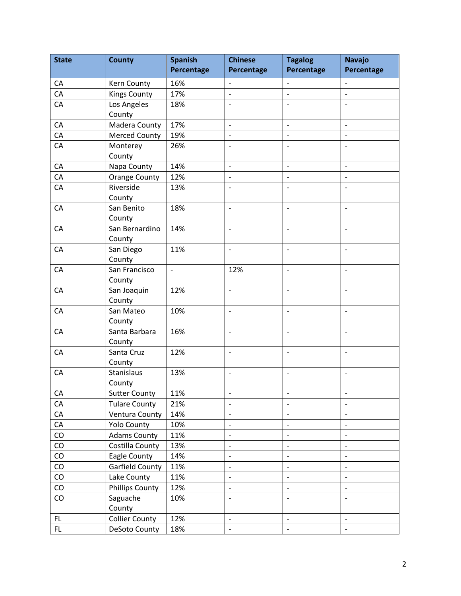| <b>State</b> | <b>County</b>          | <b>Spanish</b> | <b>Chinese</b>           | <b>Tagalog</b>           | <b>Navajo</b>                |
|--------------|------------------------|----------------|--------------------------|--------------------------|------------------------------|
|              |                        | Percentage     | Percentage               | Percentage               | Percentage                   |
| CA           | Kern County            | 16%            | $\overline{\phantom{a}}$ | $\frac{1}{2}$            | $\overline{\phantom{a}}$     |
| CA           | <b>Kings County</b>    | 17%            | $\overline{\phantom{a}}$ | $\overline{a}$           | $\frac{1}{2}$                |
| CA           | Los Angeles            | 18%            | $\overline{a}$           | $\overline{\phantom{a}}$ | $\frac{1}{2}$                |
|              | County                 |                |                          |                          |                              |
| CA           | Madera County          | 17%            | $\overline{a}$           | $\frac{1}{2}$            | $\overline{\phantom{a}}$     |
| CA           | <b>Merced County</b>   | 19%            | $\overline{a}$           | $\overline{\phantom{0}}$ | $\blacksquare$               |
| CA           | Monterey               | 26%            | $\overline{a}$           | $\overline{\phantom{0}}$ | $\overline{\phantom{a}}$     |
|              | County                 |                |                          |                          |                              |
| CA           | Napa County            | 14%            | $\overline{a}$           | $\overline{a}$           | $\overline{\phantom{0}}$     |
| CA           | <b>Orange County</b>   | 12%            | $\overline{\phantom{a}}$ | $\overline{\phantom{a}}$ | $\overline{\phantom{a}}$     |
| CA           | Riverside              | 13%            | $\overline{a}$           |                          | $\overline{\phantom{0}}$     |
|              | County                 |                |                          |                          |                              |
| CA           | San Benito             | 18%            | $\overline{a}$           | $\overline{a}$           | $\frac{1}{2}$                |
|              | County                 |                |                          |                          |                              |
| CA           | San Bernardino         | 14%            | $\overline{a}$           | $\overline{a}$           | $\overline{\phantom{a}}$     |
|              | County                 |                |                          |                          |                              |
| CA           | San Diego              | 11%            | $\overline{a}$           | $\overline{\phantom{0}}$ | $\overline{\phantom{0}}$     |
|              | County                 |                |                          |                          |                              |
| CA           | San Francisco          | $\blacksquare$ | 12%                      | $\overline{\phantom{a}}$ | $\overline{\phantom{a}}$     |
|              | County                 |                |                          |                          |                              |
| CA           | San Joaquin            | 12%            | $\overline{a}$           | $\overline{\phantom{0}}$ | $\overline{\phantom{a}}$     |
|              | County                 |                |                          |                          |                              |
| CA           | San Mateo              | 10%            | $\overline{a}$           |                          | $\overline{a}$               |
|              | County                 |                |                          |                          |                              |
| CA           | Santa Barbara          | 16%            | $\overline{a}$           | $\overline{\phantom{a}}$ | $\overline{\phantom{a}}$     |
|              | County                 |                |                          |                          |                              |
| CA           | Santa Cruz             | 12%            | $\overline{a}$           | $\overline{\phantom{a}}$ | $\overline{\phantom{a}}$     |
|              | County                 |                |                          |                          |                              |
| CA           | Stanislaus             | 13%            | $\overline{a}$           | $\overline{a}$           | $\overline{\phantom{a}}$     |
|              | County                 |                |                          |                          |                              |
| CA           | <b>Sutter County</b>   | 11%            | $\overline{\phantom{0}}$ | -                        | $\qquad \qquad \blacksquare$ |
| CA           | <b>Tulare County</b>   | 21%            | $\overline{a}$           | $\overline{\phantom{a}}$ | $\overline{\phantom{a}}$     |
| CA           | Ventura County         | 14%            | $\overline{\phantom{0}}$ | $\overline{\phantom{a}}$ | $\overline{\phantom{a}}$     |
| CA           | <b>Yolo County</b>     | 10%            | $\overline{a}$           | $\overline{\phantom{a}}$ | $\qquad \qquad \blacksquare$ |
| CO           | <b>Adams County</b>    | 11%            | $\qquad \qquad -$        | $\overline{\phantom{a}}$ | $\overline{\phantom{a}}$     |
| CO           | Costilla County        | 13%            | $\overline{\phantom{m}}$ | $\overline{\phantom{a}}$ | $\overline{\phantom{a}}$     |
| CO           | Eagle County           | 14%            | $\overline{a}$           | $\overline{a}$           | $\overline{\phantom{m}}$     |
| CO           | Garfield County        | 11%            | $\overline{a}$           | $\frac{1}{2}$            | $\overline{\phantom{a}}$     |
| CO           | Lake County            | 11%            | $\overline{a}$           | $\blacksquare$           | $\blacksquare$               |
| CO           | <b>Phillips County</b> | 12%            | $\overline{a}$           | $\overline{\phantom{a}}$ | $\overline{\phantom{0}}$     |
| CO           | Saguache               | 10%            | $\overline{a}$           | $\overline{\phantom{0}}$ | $\overline{\phantom{a}}$     |
|              | County                 |                |                          |                          |                              |
| FL           | <b>Collier County</b>  | 12%            | $\overline{a}$           | $\overline{\phantom{a}}$ | $\Box$                       |
| FL           | DeSoto County          | 18%            | $\qquad \qquad -$        | $\overline{\phantom{a}}$ | $\overline{\phantom{a}}$     |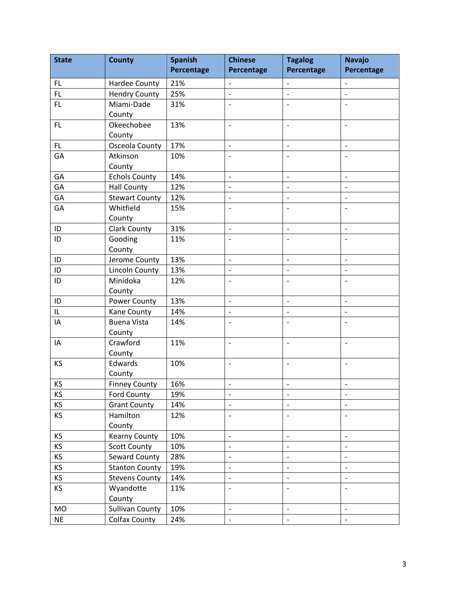| <b>State</b> | <b>County</b>          | <b>Spanish</b> | <b>Chinese</b>           | <b>Tagalog</b>           | <b>Navajo</b>                |
|--------------|------------------------|----------------|--------------------------|--------------------------|------------------------------|
|              |                        | Percentage     | Percentage               | Percentage               | Percentage                   |
| FL           | <b>Hardee County</b>   | 21%            | $\overline{\phantom{a}}$ | $\frac{1}{2}$            | $\overline{\phantom{a}}$     |
| FL           | <b>Hendry County</b>   | 25%            | $\overline{\phantom{a}}$ | $\overline{\phantom{0}}$ | $\overline{\phantom{m}}$     |
| FL           | Miami-Dade             | 31%            | $\overline{\phantom{a}}$ | $\overline{\phantom{a}}$ | $\overline{a}$               |
|              | County                 |                |                          |                          |                              |
| FL           | Okeechobee             | 13%            | $\overline{\phantom{a}}$ | $\overline{a}$           | $\overline{\phantom{a}}$     |
|              | County                 |                |                          |                          |                              |
| FL           | Osceola County         | 17%            | $\overline{\phantom{a}}$ | $\overline{\phantom{a}}$ | $\overline{\phantom{a}}$     |
| GA           | Atkinson               | 10%            | $\overline{a}$           | $\overline{a}$           | $\overline{\phantom{0}}$     |
|              | County                 |                |                          |                          |                              |
| GA           | <b>Echols County</b>   | 14%            | $\overline{\phantom{a}}$ | $\overline{\phantom{0}}$ | $\overline{a}$               |
| GA           | <b>Hall County</b>     | 12%            | $\overline{\phantom{a}}$ | $\overline{\phantom{a}}$ | $\overline{\phantom{a}}$     |
| GA           | <b>Stewart County</b>  | 12%            | $\overline{\phantom{a}}$ | $\overline{\phantom{0}}$ | $\overline{\phantom{a}}$     |
| GA           | Whitfield              | 15%            | $\overline{a}$           | $\overline{\phantom{a}}$ | $\overline{a}$               |
|              | County                 |                |                          |                          |                              |
| ID           | <b>Clark County</b>    | 31%            | $\overline{\phantom{a}}$ | $\overline{a}$           | $\overline{\phantom{0}}$     |
| ID           | Gooding                | 11%            | $\overline{\phantom{a}}$ |                          | $\overline{\phantom{a}}$     |
|              | County                 |                |                          |                          |                              |
| ID           | Jerome County          | 13%            | $\overline{\phantom{a}}$ | $\overline{a}$           | $\frac{1}{2}$                |
| ID           | <b>Lincoln County</b>  | 13%            | $\overline{\phantom{a}}$ | $\overline{\phantom{0}}$ | $\blacksquare$               |
| ID           | Minidoka               | 12%            | $\overline{\phantom{a}}$ | $\overline{a}$           | $\overline{a}$               |
|              | County                 |                |                          |                          |                              |
| ID           | Power County           | 13%            | $\overline{\phantom{a}}$ | $\overline{\phantom{0}}$ | $\overline{\phantom{a}}$     |
| $\sf IL$     | Kane County            | 14%            | $\overline{a}$           | $\overline{\phantom{0}}$ | $\overline{a}$               |
| IA           | <b>Buena Vista</b>     | 14%            | $\overline{a}$           | $\overline{a}$           | $\overline{\phantom{0}}$     |
|              | County                 |                |                          |                          |                              |
| IA           | Crawford               | 11%            | $\overline{\phantom{a}}$ | $\overline{a}$           | $\overline{\phantom{a}}$     |
|              | County                 |                |                          |                          |                              |
| KS           | Edwards                | 10%            | $\overline{\phantom{a}}$ | $\overline{\phantom{a}}$ | $\overline{\phantom{a}}$     |
|              | County                 |                |                          |                          |                              |
| KS           | <b>Finney County</b>   | 16%            | $\overline{a}$           | $\overline{\phantom{0}}$ | $\overline{a}$               |
| ΚS           | Ford County            | 19%            | $\overline{\phantom{a}}$ | $\qquad \qquad -$        | $\qquad \qquad \blacksquare$ |
| KS           | <b>Grant County</b>    | 14%            | $\overline{\phantom{a}}$ | $\overline{a}$           | $\overline{\phantom{a}}$     |
| KS           | Hamilton               | 12%            | $\overline{\phantom{a}}$ |                          |                              |
|              | County                 |                |                          |                          |                              |
| KS           | <b>Kearny County</b>   | 10%            | $\overline{\phantom{a}}$ | $\overline{\phantom{a}}$ | $\overline{\phantom{a}}$     |
| KS           | <b>Scott County</b>    | 10%            | $\overline{\phantom{a}}$ | $\overline{\phantom{0}}$ | $\overline{\phantom{0}}$     |
| KS           | Seward County          | 28%            | $\overline{\phantom{a}}$ | $\overline{\phantom{a}}$ | $\overline{\phantom{a}}$     |
| KS           | <b>Stanton County</b>  | 19%            | $\overline{\phantom{a}}$ | $\overline{a}$           | $\overline{\phantom{m}}$     |
| KS           | <b>Stevens County</b>  | 14%            | $\overline{\phantom{a}}$ | $\overline{\phantom{0}}$ | $\overline{\phantom{m}}$     |
| KS           | Wyandotte              | 11%            | $\overline{\phantom{a}}$ | $\overline{\phantom{a}}$ | $\overline{\phantom{0}}$     |
|              | County                 |                |                          |                          |                              |
| <b>MO</b>    | <b>Sullivan County</b> | 10%            | $\overline{\phantom{a}}$ | $\overline{\phantom{a}}$ | $\overline{\phantom{a}}$     |
| <b>NE</b>    | Colfax County          | 24%            | $\qquad \qquad -$        | $\blacksquare$           | $\overline{\phantom{a}}$     |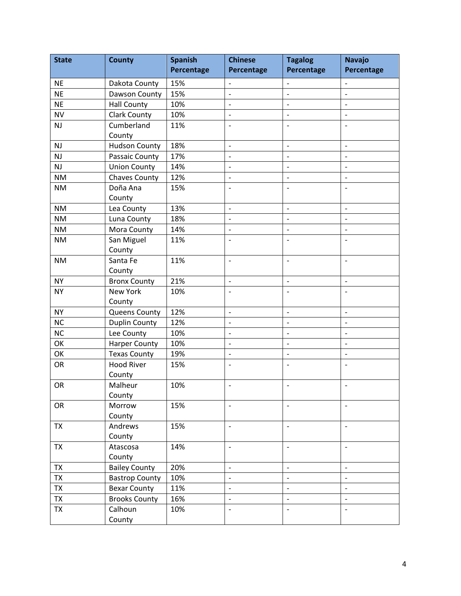| <b>State</b> | <b>County</b>         | <b>Spanish</b> | <b>Chinese</b>           | <b>Tagalog</b>           | <b>Navajo</b>                |
|--------------|-----------------------|----------------|--------------------------|--------------------------|------------------------------|
|              |                       | Percentage     | Percentage               | Percentage               | Percentage                   |
| <b>NE</b>    | Dakota County         | 15%            | $\overline{\phantom{a}}$ | $\overline{\phantom{a}}$ | $\overline{\phantom{a}}$     |
| <b>NE</b>    | Dawson County         | 15%            | $\overline{a}$           | $\overline{a}$           |                              |
| <b>NE</b>    | <b>Hall County</b>    | 10%            | $\overline{a}$           | $\overline{a}$           | $\overline{\phantom{m}}$     |
| <b>NV</b>    | <b>Clark County</b>   | 10%            | $\overline{a}$           | $\overline{\phantom{a}}$ | $\overline{\phantom{a}}$     |
| <b>NJ</b>    | Cumberland            | 11%            | $\overline{a}$           |                          |                              |
|              | County                |                |                          |                          |                              |
| <b>NJ</b>    | <b>Hudson County</b>  | 18%            | $\overline{\phantom{a}}$ | $\blacksquare$           | $\overline{\phantom{a}}$     |
| <b>NJ</b>    | Passaic County        | 17%            | $\overline{\phantom{0}}$ | $\overline{a}$           | $\overline{\phantom{a}}$     |
| <b>NJ</b>    | <b>Union County</b>   | 14%            | $\overline{a}$           | $\overline{\phantom{a}}$ | $\overline{\phantom{a}}$     |
| <b>NM</b>    | Chaves County         | 12%            | $\qquad \qquad -$        | $\blacksquare$           | $\overline{\phantom{a}}$     |
| <b>NM</b>    | Doña Ana              | 15%            | $\overline{a}$           |                          | $\overline{\phantom{a}}$     |
|              | County                |                |                          |                          |                              |
| <b>NM</b>    | Lea County            | 13%            | $\qquad \qquad -$        | $\overline{\phantom{a}}$ | $\overline{\phantom{a}}$     |
| <b>NM</b>    | Luna County           | 18%            | $\overline{\phantom{0}}$ | $\overline{\phantom{a}}$ | $\overline{\phantom{a}}$     |
| <b>NM</b>    | Mora County           | 14%            | $\overline{a}$           | $\overline{a}$           | $\overline{\phantom{0}}$     |
| <b>NM</b>    | San Miguel            | 11%            | $\overline{a}$           | $\overline{a}$           | $\overline{\phantom{a}}$     |
|              | County                |                |                          |                          |                              |
| <b>NM</b>    | Santa Fe              | 11%            | $\overline{a}$           | $\overline{\phantom{a}}$ | $\overline{\phantom{a}}$     |
|              | County                |                |                          |                          |                              |
| <b>NY</b>    | <b>Bronx County</b>   | 21%            | $\overline{\phantom{a}}$ | $\overline{\phantom{a}}$ | $\overline{\phantom{a}}$     |
| <b>NY</b>    | New York              | 10%            | $\overline{a}$           | $\overline{a}$           | $\overline{\phantom{a}}$     |
|              | County                |                |                          |                          |                              |
| <b>NY</b>    | <b>Queens County</b>  | 12%            | $\overline{\phantom{0}}$ | $\overline{a}$           | $\qquad \qquad -$            |
| <b>NC</b>    | <b>Duplin County</b>  | 12%            | $\qquad \qquad -$        | $\overline{\phantom{a}}$ | $\overline{\phantom{a}}$     |
| <b>NC</b>    | Lee County            | 10%            | $\overline{\phantom{0}}$ | $\overline{a}$           | $\overline{\phantom{a}}$     |
| OK           | <b>Harper County</b>  | 10%            | $\overline{a}$           | $\overline{a}$           | $\overline{\phantom{a}}$     |
| OK           | <b>Texas County</b>   | 19%            | $\overline{a}$           | $\overline{\phantom{a}}$ | $\overline{\phantom{a}}$     |
| OR           | <b>Hood River</b>     | 15%            | $\overline{a}$           |                          |                              |
|              | County                |                |                          |                          |                              |
| OR           | Malheur               | 10%            | $\overline{\phantom{0}}$ | $\overline{\phantom{a}}$ | $\qquad \qquad \blacksquare$ |
|              | County                |                |                          |                          |                              |
| OR           | Morrow                | 15%            |                          |                          | $\overline{\phantom{a}}$     |
|              | County                |                |                          |                          |                              |
| <b>TX</b>    | Andrews               | 15%            | $\overline{\phantom{a}}$ | $\overline{\phantom{a}}$ | $\overline{\phantom{a}}$     |
|              | County                |                |                          |                          |                              |
| <b>TX</b>    | Atascosa              | 14%            | $\overline{\phantom{a}}$ | $\overline{\phantom{a}}$ | $\overline{\phantom{a}}$     |
|              | County                |                |                          |                          |                              |
| TX           | <b>Bailey County</b>  | 20%            | $\overline{a}$           | $\overline{a}$           | $\overline{\phantom{a}}$     |
| <b>TX</b>    | <b>Bastrop County</b> | 10%            | $\blacksquare$           | $\overline{a}$           | $\overline{\phantom{m}}$     |
| <b>TX</b>    | <b>Bexar County</b>   | 11%            | $\overline{\phantom{0}}$ | $\overline{\phantom{0}}$ | $\blacksquare$               |
| <b>TX</b>    | <b>Brooks County</b>  | 16%            | $\overline{a}$           | $\overline{\phantom{a}}$ | $\overline{\phantom{a}}$     |
| <b>TX</b>    | Calhoun               | 10%            | $\overline{a}$           | $\blacksquare$           | $\overline{\phantom{a}}$     |
|              | County                |                |                          |                          |                              |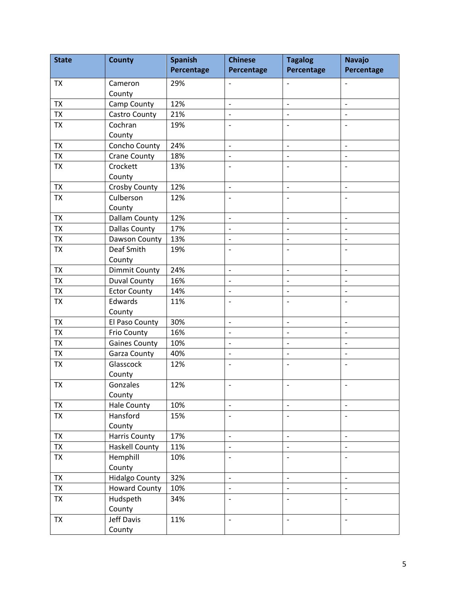| <b>State</b> | <b>County</b>         | <b>Spanish</b> | <b>Chinese</b>           | <b>Tagalog</b>           | <b>Navajo</b>            |
|--------------|-----------------------|----------------|--------------------------|--------------------------|--------------------------|
|              |                       | Percentage     | Percentage               | Percentage               | Percentage               |
| TX           | Cameron               | 29%            | $\overline{a}$           | $\overline{\phantom{a}}$ | $\qquad \qquad -$        |
|              | County                |                |                          |                          |                          |
| <b>TX</b>    | Camp County           | 12%            | $\overline{\phantom{a}}$ | $\overline{a}$           | $\frac{1}{2}$            |
| <b>TX</b>    | Castro County         | 21%            | $\overline{a}$           | $\overline{\phantom{a}}$ | $\overline{\phantom{a}}$ |
| <b>TX</b>    | Cochran               | 19%            | $\overline{a}$           |                          |                          |
|              | County                |                |                          |                          |                          |
| <b>TX</b>    | Concho County         | 24%            | $\overline{a}$           | $\qquad \qquad -$        | $\blacksquare$           |
| <b>TX</b>    | Crane County          | 18%            | $\overline{a}$           | $\overline{\phantom{a}}$ | $\overline{\phantom{a}}$ |
| <b>TX</b>    | Crockett              | 13%            | $\overline{a}$           |                          |                          |
|              | County                |                |                          |                          |                          |
| <b>TX</b>    | Crosby County         | 12%            | $\overline{a}$           | $\overline{\phantom{a}}$ | $\overline{\phantom{a}}$ |
| <b>TX</b>    | Culberson             | 12%            | $\overline{a}$           |                          |                          |
|              | County                |                |                          |                          |                          |
| <b>TX</b>    | <b>Dallam County</b>  | 12%            | $\overline{\phantom{0}}$ | $\overline{\phantom{a}}$ | $\overline{\phantom{a}}$ |
| <b>TX</b>    | <b>Dallas County</b>  | 17%            | $\overline{a}$           |                          |                          |
| <b>TX</b>    | Dawson County         | 13%            | $\qquad \qquad -$        |                          | $\overline{\phantom{a}}$ |
| <b>TX</b>    | Deaf Smith            | 19%            | $\overline{a}$           | $\overline{\phantom{a}}$ | $\overline{\phantom{a}}$ |
|              | County                |                |                          |                          |                          |
| <b>TX</b>    | <b>Dimmit County</b>  | 24%            | $\overline{a}$           | $\overline{\phantom{a}}$ | $\overline{\phantom{a}}$ |
| <b>TX</b>    | <b>Duval County</b>   | 16%            | $\overline{a}$           | $\overline{\phantom{0}}$ | $\overline{a}$           |
| <b>TX</b>    | <b>Ector County</b>   | 14%            | $\overline{a}$           | $\overline{\phantom{a}}$ | $\blacksquare$           |
| <b>TX</b>    | Edwards               | 11%            | $\overline{a}$           |                          |                          |
|              | County                |                |                          |                          |                          |
| <b>TX</b>    | El Paso County        | 30%            | $\overline{a}$           | $\overline{\phantom{a}}$ | $\overline{\phantom{a}}$ |
| <b>TX</b>    | Frio County           | 16%            | $\overline{a}$           | $\overline{\phantom{0}}$ | $\overline{a}$           |
| <b>TX</b>    | <b>Gaines County</b>  | 10%            | $\overline{a}$           | $\overline{\phantom{0}}$ | $\overline{\phantom{a}}$ |
| TX           | Garza County          | 40%            | $\overline{\phantom{0}}$ | $\overline{\phantom{a}}$ | $\overline{\phantom{a}}$ |
| <b>TX</b>    | Glasscock             | 12%            | $\overline{a}$           |                          |                          |
|              | County                |                |                          |                          |                          |
| <b>TX</b>    | Gonzales              | 12%            | $\overline{a}$           | $\overline{\phantom{a}}$ | $\overline{\phantom{a}}$ |
|              | County                |                |                          |                          |                          |
| <b>TX</b>    | <b>Hale County</b>    | 10%            | $\overline{a}$           | $\overline{\phantom{0}}$ | $\blacksquare$           |
| <b>TX</b>    | Hansford              | 15%            | $\overline{a}$           |                          |                          |
|              | County                |                |                          |                          |                          |
| <b>TX</b>    | <b>Harris County</b>  | 17%            | $\overline{a}$           | $\overline{\phantom{0}}$ | $\blacksquare$           |
| <b>TX</b>    | <b>Haskell County</b> | 11%            | $\blacksquare$           | $\overline{\phantom{a}}$ | $\overline{\phantom{a}}$ |
| <b>TX</b>    | Hemphill              | 10%            | $\overline{a}$           | $\overline{\phantom{a}}$ | $\overline{\phantom{a}}$ |
|              | County                |                |                          |                          |                          |
| <b>TX</b>    | <b>Hidalgo County</b> | 32%            | $\blacksquare$           | $\frac{1}{2}$            | $\blacksquare$           |
| <b>TX</b>    | <b>Howard County</b>  | 10%            | $\overline{a}$           | $\overline{\phantom{0}}$ | $\overline{\phantom{0}}$ |
| <b>TX</b>    | Hudspeth              | 34%            | $\overline{a}$           | $\overline{\phantom{a}}$ | $\overline{\phantom{a}}$ |
|              | County                |                |                          |                          |                          |
| <b>TX</b>    | Jeff Davis            | 11%            | $\overline{a}$           | $\overline{\phantom{a}}$ | $\overline{\phantom{a}}$ |
|              | County                |                |                          |                          |                          |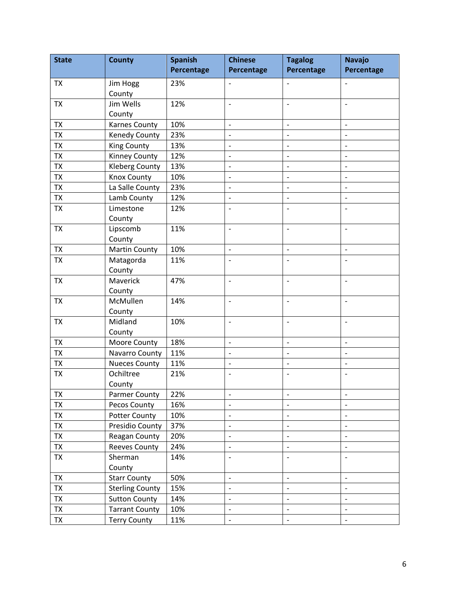| <b>State</b> | <b>County</b>          | <b>Spanish</b> | <b>Chinese</b>           | <b>Tagalog</b>           | <b>Navajo</b>            |
|--------------|------------------------|----------------|--------------------------|--------------------------|--------------------------|
|              |                        | Percentage     | Percentage               | Percentage               | Percentage               |
| TX           | Jim Hogg               | 23%            | $\overline{\phantom{a}}$ | $\overline{\phantom{m}}$ | $\overline{\phantom{a}}$ |
|              | County                 |                |                          |                          |                          |
| <b>TX</b>    | Jim Wells              | 12%            | $\overline{a}$           | $\overline{\phantom{a}}$ | $\overline{\phantom{a}}$ |
|              | County                 |                |                          |                          |                          |
| <b>TX</b>    | Karnes County          | 10%            | $\overline{a}$           | $\overline{\phantom{a}}$ | $\overline{a}$           |
| <b>TX</b>    | Kenedy County          | 23%            | $\overline{a}$           | $\overline{\phantom{a}}$ | $\overline{\phantom{a}}$ |
| <b>TX</b>    | <b>King County</b>     | 13%            | $\overline{\phantom{m}}$ | $\overline{\phantom{a}}$ | $\qquad \qquad -$        |
| <b>TX</b>    | Kinney County          | 12%            | $\overline{a}$           | $\overline{a}$           |                          |
| <b>TX</b>    | <b>Kleberg County</b>  | 13%            | $\overline{a}$           | $\overline{\phantom{0}}$ | $\overline{a}$           |
| <b>TX</b>    | <b>Knox County</b>     | 10%            | $\overline{\phantom{a}}$ | $\overline{\phantom{a}}$ | $\qquad \qquad -$        |
| <b>TX</b>    | La Salle County        | 23%            | $\overline{a}$           | $\overline{a}$           |                          |
| <b>TX</b>    | Lamb County            | 12%            | $\overline{a}$           | $\overline{\phantom{0}}$ | $\overline{a}$           |
| <b>TX</b>    | Limestone              | 12%            | $\overline{a}$           | $\overline{\phantom{a}}$ | $\overline{\phantom{a}}$ |
|              | County                 |                |                          |                          |                          |
| <b>TX</b>    | Lipscomb               | 11%            | $\overline{a}$           | $\overline{\phantom{a}}$ | $\overline{\phantom{a}}$ |
|              | County                 |                |                          |                          |                          |
| <b>TX</b>    | <b>Martin County</b>   | 10%            | $\overline{\phantom{a}}$ | $\overline{\phantom{a}}$ | $\overline{\phantom{a}}$ |
| <b>TX</b>    | Matagorda              | 11%            | $\overline{a}$           | $\overline{\phantom{a}}$ | $\overline{\phantom{a}}$ |
|              | County                 |                |                          |                          |                          |
| <b>TX</b>    | Maverick               | 47%            | $\overline{a}$           | $\overline{\phantom{a}}$ | $\overline{\phantom{0}}$ |
|              | County                 |                |                          |                          |                          |
| <b>TX</b>    | McMullen               | 14%            | $\overline{a}$           | $\overline{\phantom{a}}$ | $\overline{\phantom{a}}$ |
|              | County                 |                |                          |                          |                          |
| <b>TX</b>    | Midland                | 10%            | $\overline{a}$           | $\overline{\phantom{a}}$ | $\overline{\phantom{m}}$ |
|              | County                 |                |                          |                          |                          |
| <b>TX</b>    | Moore County           | 18%            | $\overline{\phantom{a}}$ | $\frac{1}{2}$            | $\overline{\phantom{0}}$ |
| <b>TX</b>    | Navarro County         | 11%            | $\overline{a}$           | $\overline{\phantom{a}}$ | $\overline{\phantom{a}}$ |
| <b>TX</b>    | <b>Nueces County</b>   | 11%            | $\overline{\phantom{m}}$ | $\overline{\phantom{a}}$ | $\overline{\phantom{a}}$ |
| <b>TX</b>    | Ochiltree              | 21%            |                          |                          |                          |
|              | County                 |                |                          |                          |                          |
| TX           | Parmer County          | 22%            | $\qquad \qquad -$        | $\qquad \qquad -$        | $\qquad \qquad -$        |
| <b>TX</b>    | Pecos County           | 16%            | $\overline{a}$           |                          |                          |
| TX           | <b>Potter County</b>   | 10%            | $\overline{a}$           | $\overline{a}$           |                          |
| <b>TX</b>    | Presidio County        | 37%            | $\overline{\phantom{a}}$ | $\overline{\phantom{a}}$ | $\overline{\phantom{a}}$ |
| <b>TX</b>    | Reagan County          | 20%            | $\qquad \qquad -$        |                          |                          |
| <b>TX</b>    | <b>Reeves County</b>   | 24%            | $\overline{\phantom{a}}$ | $\overline{\phantom{a}}$ | $\overline{\phantom{0}}$ |
| <b>TX</b>    | Sherman                | 14%            | $\blacksquare$           | $\overline{\phantom{a}}$ | $\blacksquare$           |
|              | County                 |                |                          |                          |                          |
| <b>TX</b>    | <b>Starr County</b>    | 50%            | $\overline{a}$           | $\overline{\phantom{0}}$ | $\overline{\phantom{0}}$ |
| <b>TX</b>    | <b>Sterling County</b> | 15%            | $\overline{\phantom{m}}$ | $\qquad \qquad -$        | $\qquad \qquad -$        |
| <b>TX</b>    | <b>Sutton County</b>   | 14%            |                          |                          |                          |
| <b>TX</b>    | <b>Tarrant County</b>  | 10%            | $\blacksquare$           | $\overline{\phantom{0}}$ | $\overline{\phantom{0}}$ |
| TX           | <b>Terry County</b>    | 11%            | $\qquad \qquad -$        | $\qquad \qquad -$        | $\qquad \qquad -$        |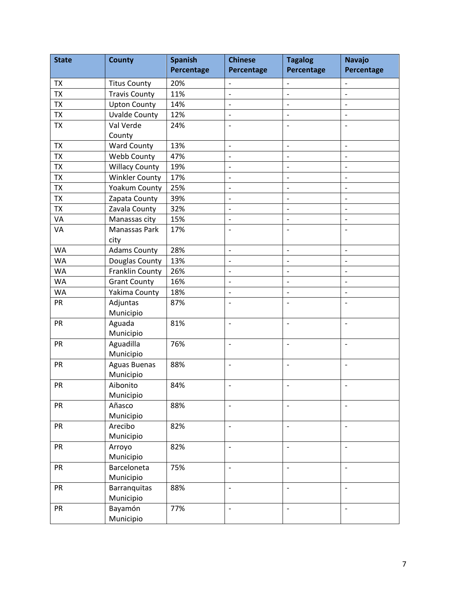| <b>State</b> | <b>County</b>                    | <b>Spanish</b> | <b>Chinese</b>           | <b>Tagalog</b>           | <b>Navajo</b>                |
|--------------|----------------------------------|----------------|--------------------------|--------------------------|------------------------------|
|              |                                  | Percentage     | Percentage               | Percentage               | Percentage                   |
| <b>TX</b>    | <b>Titus County</b>              | 20%            | $\overline{\phantom{a}}$ | $\blacksquare$           | $\overline{\phantom{a}}$     |
| <b>TX</b>    | <b>Travis County</b>             | 11%            | $\overline{\phantom{0}}$ | $\overline{a}$           |                              |
| <b>TX</b>    | <b>Upton County</b>              | 14%            | $\overline{a}$           | $\overline{a}$           | $\overline{\phantom{0}}$     |
| <b>TX</b>    | <b>Uvalde County</b>             | 12%            | $\overline{a}$           | $\overline{\phantom{a}}$ | $\overline{\phantom{a}}$     |
| <b>TX</b>    | Val Verde                        | 24%            | $\overline{a}$           |                          |                              |
|              | County                           |                |                          |                          |                              |
| <b>TX</b>    | <b>Ward County</b>               | 13%            | $\overline{\phantom{a}}$ | $\blacksquare$           | $\overline{\phantom{a}}$     |
| <b>TX</b>    | Webb County                      | 47%            | $\overline{a}$           | $\overline{a}$           | $\overline{\phantom{a}}$     |
| <b>TX</b>    | <b>Willacy County</b>            | 19%            | $\overline{a}$           | $\overline{\phantom{a}}$ | $\overline{\phantom{a}}$     |
| <b>TX</b>    | <b>Winkler County</b>            | 17%            | $\qquad \qquad -$        | $\overline{\phantom{a}}$ | $\overline{\phantom{a}}$     |
| <b>TX</b>    | Yoakum County                    | 25%            | $\overline{a}$           | $\overline{a}$           | $\overline{\phantom{m}}$     |
| <b>TX</b>    | Zapata County                    | 39%            | $\overline{\phantom{0}}$ | $\overline{\phantom{a}}$ | $\overline{\phantom{a}}$     |
| <b>TX</b>    | Zavala County                    | 32%            | $\overline{\phantom{0}}$ | $\overline{a}$           | $\overline{\phantom{a}}$     |
| VA           | Manassas city                    | 15%            | $\overline{a}$           | $\overline{a}$           | $\overline{\phantom{0}}$     |
| VA           | Manassas Park                    | 17%            | $\overline{a}$           |                          | $\overline{a}$               |
|              | city                             |                |                          |                          |                              |
| <b>WA</b>    | <b>Adams County</b>              | 28%            | $\overline{a}$           | $\overline{\phantom{a}}$ | $\overline{\phantom{a}}$     |
| <b>WA</b>    | Douglas County                   | 13%            | $\overline{\phantom{0}}$ | $\overline{a}$           | $\overline{\phantom{a}}$     |
| <b>WA</b>    | Franklin County                  | 26%            | $\overline{a}$           | $\overline{a}$           | $\frac{1}{2}$                |
| <b>WA</b>    | <b>Grant County</b>              | 16%            | $\overline{\phantom{a}}$ | $\overline{\phantom{a}}$ | $\overline{\phantom{a}}$     |
| <b>WA</b>    | Yakima County                    | 18%            | $\overline{\phantom{0}}$ | $\overline{a}$           | $\overline{\phantom{a}}$     |
| PR           | Adjuntas                         | 87%            | $\overline{a}$           |                          |                              |
|              | Municipio                        |                |                          |                          |                              |
| <b>PR</b>    | Aguada                           | 81%            | $\overline{a}$           | $\overline{\phantom{a}}$ | $\overline{\phantom{0}}$     |
|              | Municipio                        |                |                          |                          |                              |
| PR           | Aguadilla                        | 76%            | $\overline{a}$           | $\overline{\phantom{a}}$ | $\overline{\phantom{a}}$     |
|              | Municipio                        |                |                          |                          |                              |
| <b>PR</b>    | <b>Aguas Buenas</b>              | 88%            | $\overline{a}$           | $\overline{\phantom{a}}$ | $\overline{\phantom{a}}$     |
|              | Municipio                        |                |                          |                          |                              |
| PR           | Aibonito                         | 84%            | $\overline{\phantom{0}}$ | $\overline{a}$           | $\qquad \qquad \blacksquare$ |
|              | Municipio                        |                |                          |                          |                              |
| <b>PR</b>    | Añasco                           | 88%            |                          |                          | $\overline{\phantom{a}}$     |
|              | Municipio                        |                |                          |                          |                              |
| PR           | Arecibo                          | 82%            | $\overline{\phantom{a}}$ | $\overline{\phantom{a}}$ | $\overline{\phantom{a}}$     |
|              | Municipio                        |                |                          |                          |                              |
| PR           | Arroyo                           | 82%            | $\qquad \qquad -$        | $\overline{\phantom{0}}$ | $\overline{\phantom{a}}$     |
|              | Municipio                        |                |                          |                          |                              |
| <b>PR</b>    | Barceloneta                      | 75%            | $\overline{a}$           | $\overline{\phantom{a}}$ | $\overline{\phantom{a}}$     |
| <b>PR</b>    | Municipio                        | 88%            | $\overline{a}$           | $\overline{a}$           | $\overline{\phantom{a}}$     |
|              | <b>Barranquitas</b><br>Municipio |                |                          |                          |                              |
| <b>PR</b>    | Bayamón                          | 77%            | $\overline{a}$           | $\overline{\phantom{a}}$ | $\overline{\phantom{a}}$     |
|              | Municipio                        |                |                          |                          |                              |
|              |                                  |                |                          |                          |                              |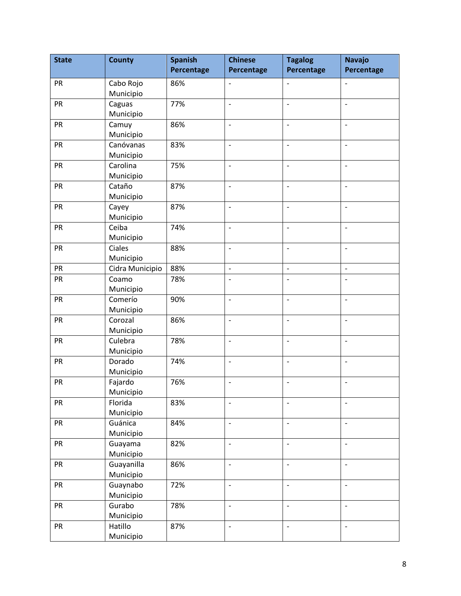| <b>State</b> | <b>County</b>        | <b>Spanish</b> | <b>Chinese</b>           | <b>Tagalog</b>           | <b>Navajo</b>            |
|--------------|----------------------|----------------|--------------------------|--------------------------|--------------------------|
|              |                      | Percentage     | <b>Percentage</b>        | Percentage               | Percentage               |
| PR           | Cabo Rojo            | 86%            | $\overline{\phantom{a}}$ | $\overline{\phantom{a}}$ | $\overline{\phantom{a}}$ |
|              | Municipio            |                |                          |                          |                          |
| PR           | Caguas               | 77%            | $\overline{\phantom{a}}$ | $\overline{\phantom{a}}$ | $\overline{\phantom{0}}$ |
|              | Municipio            |                |                          |                          |                          |
| PR           | Camuy                | 86%            | $\overline{a}$           | $\overline{\phantom{a}}$ | $\overline{a}$           |
|              | Municipio            |                |                          |                          |                          |
| PR           | Canóvanas            | 83%            | $\overline{a}$           | $\overline{\phantom{a}}$ | $\overline{\phantom{0}}$ |
|              | Municipio            |                |                          |                          |                          |
| PR           | Carolina             | 75%            | $\overline{\phantom{a}}$ | $\overline{\phantom{a}}$ | $\overline{a}$           |
|              | Municipio            |                |                          |                          |                          |
| PR           | Cataño               | 87%            | $\overline{\phantom{a}}$ | $\overline{\phantom{a}}$ | $\overline{a}$           |
| PR           | Municipio            | 87%            | $\overline{a}$           | $\overline{\phantom{a}}$ | $\overline{\phantom{m}}$ |
|              | Cayey<br>Municipio   |                |                          |                          |                          |
| PR           | Ceiba                | 74%            | $\overline{a}$           | $\blacksquare$           | $\overline{\phantom{a}}$ |
|              | Municipio            |                |                          |                          |                          |
| PR           | Ciales               | 88%            | $\overline{\phantom{a}}$ | $\overline{\phantom{a}}$ | $\overline{a}$           |
|              | Municipio            |                |                          |                          |                          |
| PR           | Cidra Municipio      | 88%            | $\overline{a}$           | $\overline{\phantom{a}}$ | $\overline{\phantom{0}}$ |
| PR           | Coamo                | 78%            | $\overline{\phantom{a}}$ |                          | $\overline{a}$           |
|              | Municipio            |                |                          |                          |                          |
| PR           | Comerío              | 90%            | $\overline{a}$           | $\frac{1}{2}$            | $\overline{\phantom{a}}$ |
|              | Municipio            |                |                          |                          |                          |
| PR           | Corozal              | 86%            | $\overline{\phantom{a}}$ | $\overline{\phantom{a}}$ | $\overline{a}$           |
|              | Municipio            |                |                          |                          |                          |
| PR           | Culebra              | 78%            | $\overline{\phantom{a}}$ | $\overline{\phantom{a}}$ | $\overline{a}$           |
|              | Municipio            |                |                          |                          |                          |
| PR           | Dorado               | 74%            | $\overline{a}$           | $\overline{\phantom{a}}$ | $\overline{a}$           |
|              | Municipio            |                |                          |                          |                          |
| PR           | Fajardo              | 76%            | $\overline{\phantom{a}}$ | $\overline{\phantom{a}}$ | $\overline{\phantom{a}}$ |
|              | Municipio            |                |                          |                          |                          |
| PR           | Florida<br>Municipio | 83%            | $\overline{a}$           | $\overline{\phantom{a}}$ | $\overline{\phantom{0}}$ |
| PR           | Guánica              | 84%            | $\overline{a}$           | $\overline{\phantom{a}}$ | $\overline{\phantom{a}}$ |
|              | Municipio            |                |                          |                          |                          |
| PR           | Guayama              | 82%            | $\overline{\phantom{a}}$ | $\frac{1}{2}$            | $\overline{\phantom{a}}$ |
|              | Municipio            |                |                          |                          |                          |
| PR           | Guayanilla           | 86%            | $\overline{a}$           | $\frac{1}{2}$            | $\overline{a}$           |
|              | Municipio            |                |                          |                          |                          |
| PR           | Guaynabo             | 72%            | $\overline{\phantom{a}}$ | $\blacksquare$           | $\overline{\phantom{a}}$ |
|              | Municipio            |                |                          |                          |                          |
| PR           | Gurabo               | 78%            | $\overline{a}$           | $\overline{\phantom{a}}$ | $\overline{a}$           |
|              | Municipio            |                |                          |                          |                          |
| PR           | Hatillo              | 87%            | $\overline{a}$           | $\overline{\phantom{a}}$ | $\overline{\phantom{a}}$ |
|              | Municipio            |                |                          |                          |                          |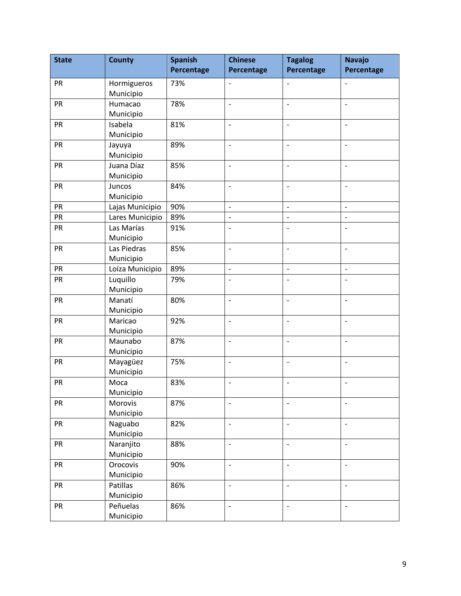| <b>State</b> | <b>County</b>            | <b>Spanish</b> | <b>Chinese</b>           | <b>Tagalog</b>           | <b>Navajo</b>            |
|--------------|--------------------------|----------------|--------------------------|--------------------------|--------------------------|
|              |                          | Percentage     | Percentage               | Percentage               | Percentage               |
| PR           | Hormigueros<br>Municipio | 73%            | $\overline{\phantom{a}}$ | $\overline{\phantom{0}}$ | $\overline{\phantom{0}}$ |
| <b>PR</b>    | Humacao<br>Municipio     | 78%            | $\overline{\phantom{a}}$ | $\overline{\phantom{a}}$ | $\frac{1}{2}$            |
| PR           | Isabela<br>Municipio     | 81%            | $\overline{\phantom{a}}$ | $\overline{\phantom{0}}$ | $\overline{\phantom{a}}$ |
| PR           | Jayuya<br>Municipio      | 89%            | $\overline{a}$           | $\overline{a}$           | $\overline{\phantom{a}}$ |
| PR           | Juana Díaz<br>Municipio  | 85%            | $\overline{a}$           | $\overline{a}$           | $\overline{a}$           |
| PR           | Juncos<br>Municipio      | 84%            | $\overline{\phantom{a}}$ | $\overline{\phantom{0}}$ | $\overline{\phantom{a}}$ |
| PR           | Lajas Municipio          | 90%            | $\overline{\phantom{a}}$ | $\overline{\phantom{0}}$ | $\overline{\phantom{a}}$ |
| <b>PR</b>    | Lares Municipio          | 89%            | $\overline{\phantom{a}}$ | $\overline{\phantom{a}}$ | $\overline{\phantom{a}}$ |
| PR           | Las Marías<br>Municipio  | 91%            | $\overline{\phantom{a}}$ | $\overline{\phantom{a}}$ | $\overline{a}$           |
| PR           | Las Piedras<br>Municipio | 85%            | $\overline{\phantom{a}}$ | $\overline{\phantom{a}}$ | $\overline{\phantom{a}}$ |
| PR           | Loíza Municipio          | 89%            | $\overline{\phantom{a}}$ | $\frac{1}{2}$            | $\blacksquare$           |
| PR           | Luquillo<br>Municipio    | 79%            | $\overline{a}$           | $\overline{a}$           | $\overline{a}$           |
| <b>PR</b>    | Manatí<br>Municipio      | 80%            | $\overline{a}$           | $\overline{a}$           | $\frac{1}{2}$            |
| <b>PR</b>    | Maricao<br>Municipio     | 92%            | $\overline{a}$           | $\overline{\phantom{a}}$ | $\overline{\phantom{a}}$ |
| PR           | Maunabo<br>Municipio     | 87%            | $\overline{\phantom{a}}$ | $\overline{\phantom{0}}$ | $\overline{\phantom{a}}$ |
| PR           | Mayagüez<br>Municipio    | 75%            | $\overline{a}$           | $\overline{\phantom{a}}$ | $\overline{\phantom{a}}$ |
| PR           | Moca<br>Municipio        | 83%            | $\overline{\phantom{a}}$ |                          | $\overline{\phantom{0}}$ |
| <b>PR</b>    | Morovis<br>Municipio     | 87%            | $\overline{\phantom{a}}$ | $\overline{\phantom{a}}$ | $\overline{\phantom{a}}$ |
| PR           | Naguabo<br>Municipio     | 82%            | $\overline{\phantom{a}}$ | $\overline{\phantom{a}}$ | $\overline{\phantom{a}}$ |
| <b>PR</b>    | Naranjito<br>Municipio   | 88%            | $\overline{\phantom{a}}$ | $\overline{\phantom{a}}$ | $\overline{\phantom{a}}$ |
| PR           | Orocovis<br>Municipio    | 90%            | $\overline{a}$           | $\blacksquare$           | $\overline{\phantom{m}}$ |
| PR           | Patillas<br>Municipio    | 86%            | $\blacksquare$           | $\overline{\phantom{0}}$ | $\overline{\phantom{a}}$ |
| <b>PR</b>    | Peñuelas<br>Municipio    | 86%            | $\blacksquare$           | $\overline{\phantom{0}}$ | $\overline{\phantom{a}}$ |